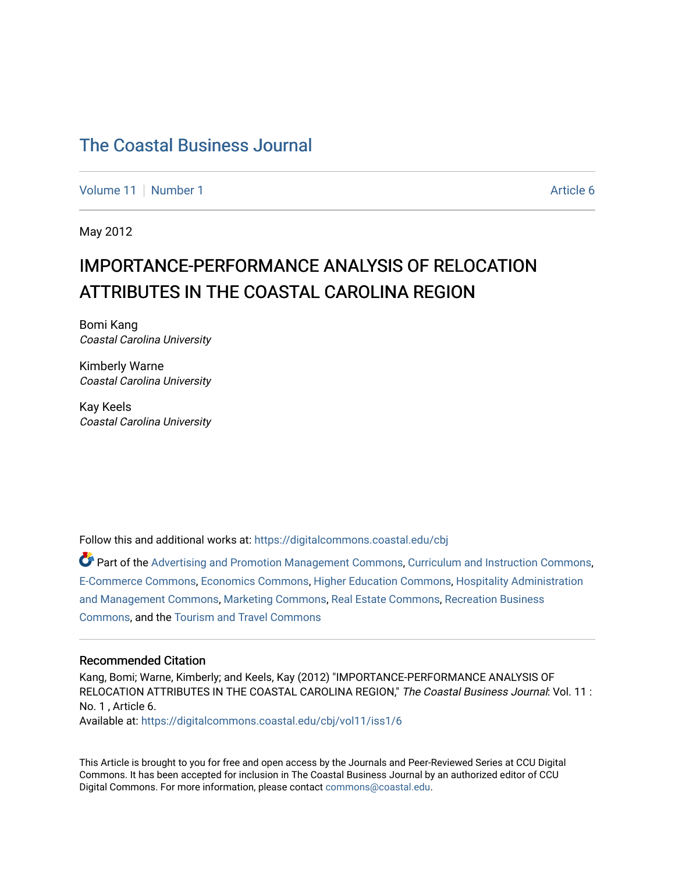[Volume 11](https://digitalcommons.coastal.edu/cbj/vol11) | [Number 1](https://digitalcommons.coastal.edu/cbj/vol11/iss1) Article 6

May 2012

### IMPORTANCE-PERFORMANCE ANALYSIS OF RELOCATION ATTRIBUTES IN THE COASTAL CAROLINA REGION

Bomi Kang Coastal Carolina University

Kimberly Warne Coastal Carolina University

Kay Keels Coastal Carolina University

Follow this and additional works at: [https://digitalcommons.coastal.edu/cbj](https://digitalcommons.coastal.edu/cbj?utm_source=digitalcommons.coastal.edu%2Fcbj%2Fvol11%2Fiss1%2F6&utm_medium=PDF&utm_campaign=PDFCoverPages) 

Part of the [Advertising and Promotion Management Commons,](http://network.bepress.com/hgg/discipline/626?utm_source=digitalcommons.coastal.edu%2Fcbj%2Fvol11%2Fiss1%2F6&utm_medium=PDF&utm_campaign=PDFCoverPages) [Curriculum and Instruction Commons,](http://network.bepress.com/hgg/discipline/786?utm_source=digitalcommons.coastal.edu%2Fcbj%2Fvol11%2Fiss1%2F6&utm_medium=PDF&utm_campaign=PDFCoverPages) [E-Commerce Commons,](http://network.bepress.com/hgg/discipline/624?utm_source=digitalcommons.coastal.edu%2Fcbj%2Fvol11%2Fiss1%2F6&utm_medium=PDF&utm_campaign=PDFCoverPages) [Economics Commons](http://network.bepress.com/hgg/discipline/340?utm_source=digitalcommons.coastal.edu%2Fcbj%2Fvol11%2Fiss1%2F6&utm_medium=PDF&utm_campaign=PDFCoverPages), [Higher Education Commons](http://network.bepress.com/hgg/discipline/1245?utm_source=digitalcommons.coastal.edu%2Fcbj%2Fvol11%2Fiss1%2F6&utm_medium=PDF&utm_campaign=PDFCoverPages), [Hospitality Administration](http://network.bepress.com/hgg/discipline/632?utm_source=digitalcommons.coastal.edu%2Fcbj%2Fvol11%2Fiss1%2F6&utm_medium=PDF&utm_campaign=PDFCoverPages) [and Management Commons,](http://network.bepress.com/hgg/discipline/632?utm_source=digitalcommons.coastal.edu%2Fcbj%2Fvol11%2Fiss1%2F6&utm_medium=PDF&utm_campaign=PDFCoverPages) [Marketing Commons](http://network.bepress.com/hgg/discipline/638?utm_source=digitalcommons.coastal.edu%2Fcbj%2Fvol11%2Fiss1%2F6&utm_medium=PDF&utm_campaign=PDFCoverPages), [Real Estate Commons](http://network.bepress.com/hgg/discipline/641?utm_source=digitalcommons.coastal.edu%2Fcbj%2Fvol11%2Fiss1%2F6&utm_medium=PDF&utm_campaign=PDFCoverPages), [Recreation Business](http://network.bepress.com/hgg/discipline/1083?utm_source=digitalcommons.coastal.edu%2Fcbj%2Fvol11%2Fiss1%2F6&utm_medium=PDF&utm_campaign=PDFCoverPages) [Commons](http://network.bepress.com/hgg/discipline/1083?utm_source=digitalcommons.coastal.edu%2Fcbj%2Fvol11%2Fiss1%2F6&utm_medium=PDF&utm_campaign=PDFCoverPages), and the [Tourism and Travel Commons](http://network.bepress.com/hgg/discipline/1082?utm_source=digitalcommons.coastal.edu%2Fcbj%2Fvol11%2Fiss1%2F6&utm_medium=PDF&utm_campaign=PDFCoverPages)

#### Recommended Citation

Kang, Bomi; Warne, Kimberly; and Keels, Kay (2012) "IMPORTANCE-PERFORMANCE ANALYSIS OF RELOCATION ATTRIBUTES IN THE COASTAL CAROLINA REGION," The Coastal Business Journal: Vol. 11 : No. 1 , Article 6. Available at: [https://digitalcommons.coastal.edu/cbj/vol11/iss1/6](https://digitalcommons.coastal.edu/cbj/vol11/iss1/6?utm_source=digitalcommons.coastal.edu%2Fcbj%2Fvol11%2Fiss1%2F6&utm_medium=PDF&utm_campaign=PDFCoverPages) 

This Article is brought to you for free and open access by the Journals and Peer-Reviewed Series at CCU Digital Commons. It has been accepted for inclusion in The Coastal Business Journal by an authorized editor of CCU Digital Commons. For more information, please contact [commons@coastal.edu](mailto:commons@coastal.edu).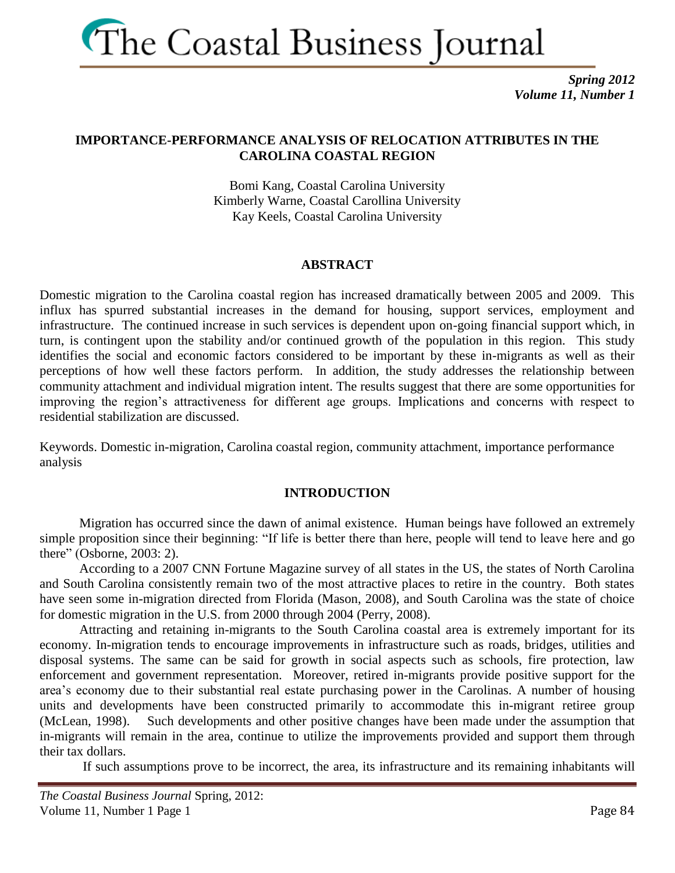

*Spring 2012 Volume 11, Number 1*

### **IMPORTANCE-PERFORMANCE ANALYSIS OF RELOCATION ATTRIBUTES IN THE CAROLINA COASTAL REGION**

Bomi Kang, Coastal Carolina University Kimberly Warne, Coastal Carollina University Kay Keels, Coastal Carolina University

### **ABSTRACT**

Domestic migration to the Carolina coastal region has increased dramatically between 2005 and 2009. This influx has spurred substantial increases in the demand for housing, support services, employment and infrastructure. The continued increase in such services is dependent upon on-going financial support which, in turn, is contingent upon the stability and/or continued growth of the population in this region. This study identifies the social and economic factors considered to be important by these in-migrants as well as their perceptions of how well these factors perform. In addition, the study addresses the relationship between community attachment and individual migration intent. The results suggest that there are some opportunities for improving the region's attractiveness for different age groups. Implications and concerns with respect to residential stabilization are discussed.

Keywords. Domestic in-migration, Carolina coastal region, community attachment, importance performance analysis

### **INTRODUCTION**

Migration has occurred since the dawn of animal existence. Human beings have followed an extremely simple proposition since their beginning: "If life is better there than here, people will tend to leave here and go there" (Osborne, 2003: 2).

According to a 2007 CNN Fortune Magazine survey of all states in the US, the states of North Carolina and South Carolina consistently remain two of the most attractive places to retire in the country. Both states have seen some in-migration directed from Florida (Mason, 2008), and South Carolina was the state of choice for domestic migration in the U.S. from 2000 through 2004 (Perry, 2008).

Attracting and retaining in-migrants to the South Carolina coastal area is extremely important for its economy. In-migration tends to encourage improvements in infrastructure such as roads, bridges, utilities and disposal systems. The same can be said for growth in social aspects such as schools, fire protection, law enforcement and government representation. Moreover, retired in-migrants provide positive support for the area's economy due to their substantial real estate purchasing power in the Carolinas. A number of housing units and developments have been constructed primarily to accommodate this in-migrant retiree group (McLean, 1998). Such developments and other positive changes have been made under the assumption that in-migrants will remain in the area, continue to utilize the improvements provided and support them through their tax dollars.

If such assumptions prove to be incorrect, the area, its infrastructure and its remaining inhabitants will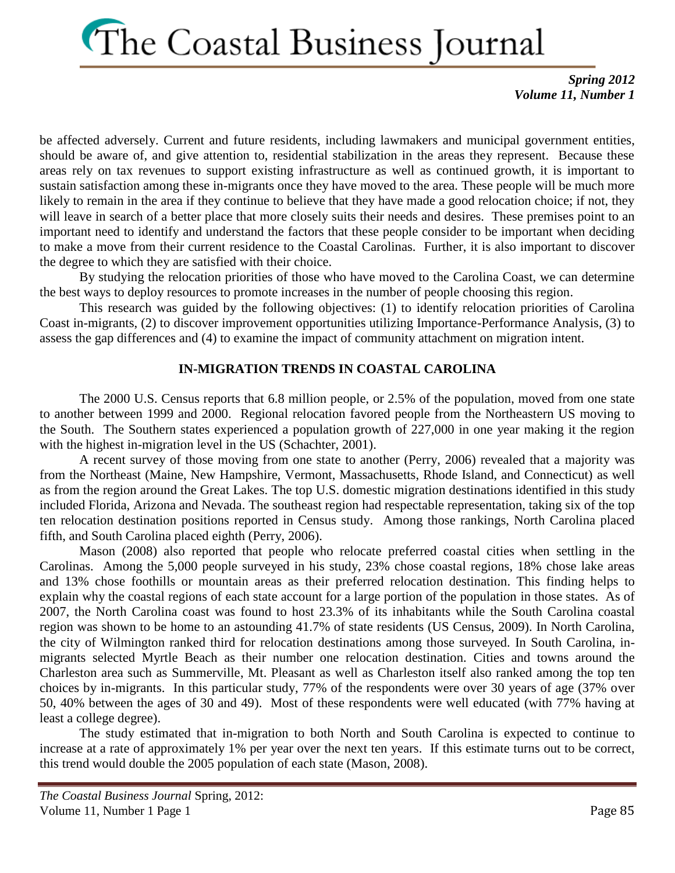*Spring 2012 Volume 11, Number 1*

be affected adversely. Current and future residents, including lawmakers and municipal government entities, should be aware of, and give attention to, residential stabilization in the areas they represent. Because these areas rely on tax revenues to support existing infrastructure as well as continued growth, it is important to sustain satisfaction among these in-migrants once they have moved to the area. These people will be much more likely to remain in the area if they continue to believe that they have made a good relocation choice; if not, they will leave in search of a better place that more closely suits their needs and desires. These premises point to an important need to identify and understand the factors that these people consider to be important when deciding to make a move from their current residence to the Coastal Carolinas. Further, it is also important to discover the degree to which they are satisfied with their choice.

By studying the relocation priorities of those who have moved to the Carolina Coast, we can determine the best ways to deploy resources to promote increases in the number of people choosing this region.

This research was guided by the following objectives: (1) to identify relocation priorities of Carolina Coast in-migrants, (2) to discover improvement opportunities utilizing Importance-Performance Analysis, (3) to assess the gap differences and (4) to examine the impact of community attachment on migration intent.

### **IN-MIGRATION TRENDS IN COASTAL CAROLINA**

The 2000 U.S. Census reports that 6.8 million people, or 2.5% of the population, moved from one state to another between 1999 and 2000. Regional relocation favored people from the Northeastern US moving to the South. The Southern states experienced a population growth of 227,000 in one year making it the region with the highest in-migration level in the US (Schachter, 2001).

A recent survey of those moving from one state to another (Perry, 2006) revealed that a majority was from the Northeast (Maine, New Hampshire, Vermont, Massachusetts, Rhode Island, and Connecticut) as well as from the region around the Great Lakes. The top U.S. domestic migration destinations identified in this study included Florida, Arizona and Nevada. The southeast region had respectable representation, taking six of the top ten relocation destination positions reported in Census study. Among those rankings, North Carolina placed fifth, and South Carolina placed eighth (Perry, 2006).

Mason (2008) also reported that people who relocate preferred coastal cities when settling in the Carolinas. Among the 5,000 people surveyed in his study, 23% chose coastal regions, 18% chose lake areas and 13% chose foothills or mountain areas as their preferred relocation destination. This finding helps to explain why the coastal regions of each state account for a large portion of the population in those states. As of 2007, the North Carolina coast was found to host 23.3% of its inhabitants while the South Carolina coastal region was shown to be home to an astounding 41.7% of state residents (US Census, 2009). In North Carolina, the city of Wilmington ranked third for relocation destinations among those surveyed. In South Carolina, inmigrants selected Myrtle Beach as their number one relocation destination. Cities and towns around the Charleston area such as Summerville, Mt. Pleasant as well as Charleston itself also ranked among the top ten choices by in-migrants. In this particular study, 77% of the respondents were over 30 years of age (37% over 50, 40% between the ages of 30 and 49). Most of these respondents were well educated (with 77% having at least a college degree).

The study estimated that in-migration to both North and South Carolina is expected to continue to increase at a rate of approximately 1% per year over the next ten years. If this estimate turns out to be correct, this trend would double the 2005 population of each state (Mason, 2008).

*The Coastal Business Journal* Spring, 2012: Volume 11, Number 1 Page 1 Page 1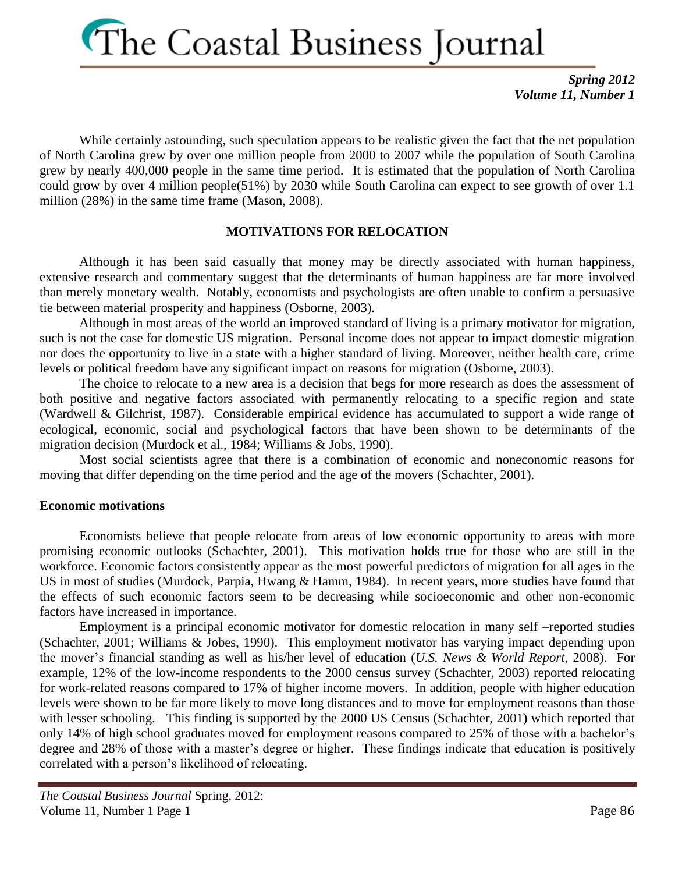*Spring 2012 Volume 11, Number 1*

While certainly astounding, such speculation appears to be realistic given the fact that the net population of North Carolina grew by over one million people from 2000 to 2007 while the population of South Carolina grew by nearly 400,000 people in the same time period. It is estimated that the population of North Carolina could grow by over 4 million people(51%) by 2030 while South Carolina can expect to see growth of over 1.1 million (28%) in the same time frame (Mason, 2008).

### **MOTIVATIONS FOR RELOCATION**

Although it has been said casually that money may be directly associated with human happiness, extensive research and commentary suggest that the determinants of human happiness are far more involved than merely monetary wealth. Notably, economists and psychologists are often unable to confirm a persuasive tie between material prosperity and happiness (Osborne, 2003).

Although in most areas of the world an improved standard of living is a primary motivator for migration, such is not the case for domestic US migration. Personal income does not appear to impact domestic migration nor does the opportunity to live in a state with a higher standard of living. Moreover, neither health care, crime levels or political freedom have any significant impact on reasons for migration (Osborne, 2003).

The choice to relocate to a new area is a decision that begs for more research as does the assessment of both positive and negative factors associated with permanently relocating to a specific region and state (Wardwell & Gilchrist, 1987). Considerable empirical evidence has accumulated to support a wide range of ecological, economic, social and psychological factors that have been shown to be determinants of the migration decision (Murdock et al., 1984; Williams & Jobs, 1990).

Most social scientists agree that there is a combination of economic and noneconomic reasons for moving that differ depending on the time period and the age of the movers (Schachter, 2001).

### **Economic motivations**

Economists believe that people relocate from areas of low economic opportunity to areas with more promising economic outlooks (Schachter, 2001). This motivation holds true for those who are still in the workforce. Economic factors consistently appear as the most powerful predictors of migration for all ages in the US in most of studies (Murdock, Parpia, Hwang & Hamm, 1984). In recent years, more studies have found that the effects of such economic factors seem to be decreasing while socioeconomic and other non-economic factors have increased in importance.

Employment is a principal economic motivator for domestic relocation in many self –reported studies (Schachter, 2001; Williams & Jobes, 1990). This employment motivator has varying impact depending upon the mover's financial standing as well as his/her level of education (*U.S. News & World Report*, 2008). For example, 12% of the low-income respondents to the 2000 census survey (Schachter, 2003) reported relocating for work-related reasons compared to 17% of higher income movers. In addition, people with higher education levels were shown to be far more likely to move long distances and to move for employment reasons than those with lesser schooling. This finding is supported by the 2000 US Census (Schachter, 2001) which reported that only 14% of high school graduates moved for employment reasons compared to 25% of those with a bachelor's degree and 28% of those with a master's degree or higher. These findings indicate that education is positively correlated with a person's likelihood of relocating.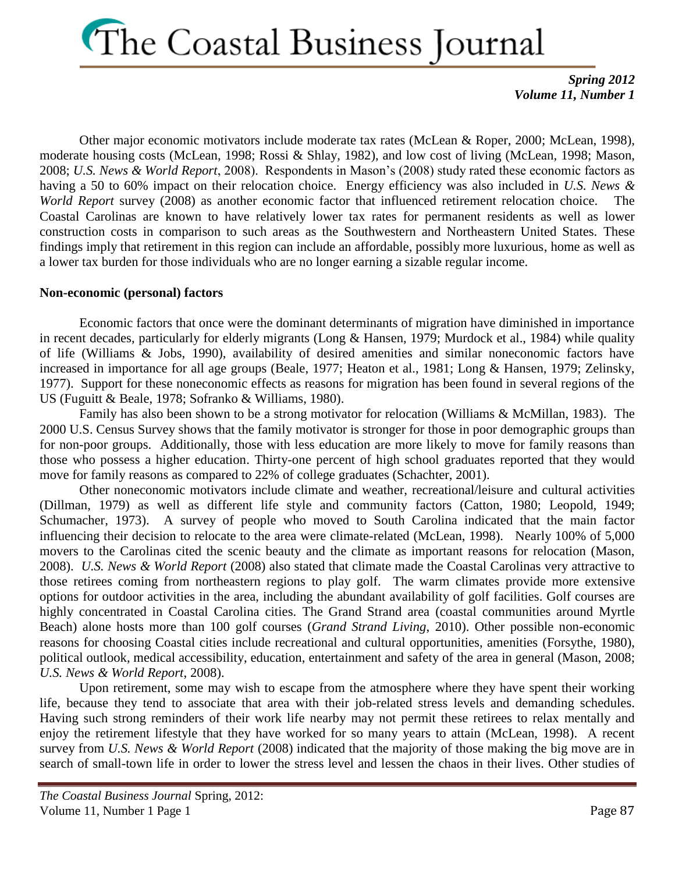*Spring 2012 Volume 11, Number 1*

Other major economic motivators include moderate tax rates (McLean & Roper, 2000; McLean, 1998), moderate housing costs (McLean, 1998; Rossi & Shlay, 1982), and low cost of living (McLean, 1998; Mason, 2008; *U.S. News & World Report*, 2008). Respondents in Mason's (2008) study rated these economic factors as having a 50 to 60% impact on their relocation choice. Energy efficiency was also included in *U.S. News & World Report* survey (2008) as another economic factor that influenced retirement relocation choice. The Coastal Carolinas are known to have relatively lower tax rates for permanent residents as well as lower construction costs in comparison to such areas as the Southwestern and Northeastern United States. These findings imply that retirement in this region can include an affordable, possibly more luxurious, home as well as a lower tax burden for those individuals who are no longer earning a sizable regular income.

### **Non-economic (personal) factors**

Economic factors that once were the dominant determinants of migration have diminished in importance in recent decades, particularly for elderly migrants (Long & Hansen, 1979; Murdock et al., 1984) while quality of life (Williams & Jobs, 1990), availability of desired amenities and similar noneconomic factors have increased in importance for all age groups (Beale, 1977; Heaton et al., 1981; Long & Hansen, 1979; Zelinsky, 1977). Support for these noneconomic effects as reasons for migration has been found in several regions of the US (Fuguitt & Beale, 1978; Sofranko & Williams, 1980).

Family has also been shown to be a strong motivator for relocation (Williams & McMillan, 1983). The 2000 U.S. Census Survey shows that the family motivator is stronger for those in poor demographic groups than for non-poor groups. Additionally, those with less education are more likely to move for family reasons than those who possess a higher education. Thirty-one percent of high school graduates reported that they would move for family reasons as compared to 22% of college graduates (Schachter, 2001).

Other noneconomic motivators include climate and weather, recreational/leisure and cultural activities (Dillman, 1979) as well as different life style and community factors (Catton, 1980; Leopold, 1949; Schumacher, 1973). A survey of people who moved to South Carolina indicated that the main factor influencing their decision to relocate to the area were climate-related (McLean, 1998). Nearly 100% of 5,000 movers to the Carolinas cited the scenic beauty and the climate as important reasons for relocation (Mason, 2008). *U.S. News & World Report* (2008) also stated that climate made the Coastal Carolinas very attractive to those retirees coming from northeastern regions to play golf. The warm climates provide more extensive options for outdoor activities in the area, including the abundant availability of golf facilities. Golf courses are highly concentrated in Coastal Carolina cities. The Grand Strand area (coastal communities around Myrtle Beach) alone hosts more than 100 golf courses (*Grand Strand Living*, 2010). Other possible non-economic reasons for choosing Coastal cities include recreational and cultural opportunities, amenities (Forsythe, 1980), political outlook, medical accessibility, education, entertainment and safety of the area in general (Mason, 2008; *U.S. News & World Report*, 2008).

Upon retirement, some may wish to escape from the atmosphere where they have spent their working life, because they tend to associate that area with their job-related stress levels and demanding schedules. Having such strong reminders of their work life nearby may not permit these retirees to relax mentally and enjoy the retirement lifestyle that they have worked for so many years to attain (McLean, 1998). A recent survey from *U.S. News & World Report* (2008) indicated that the majority of those making the big move are in search of small-town life in order to lower the stress level and lessen the chaos in their lives. Other studies of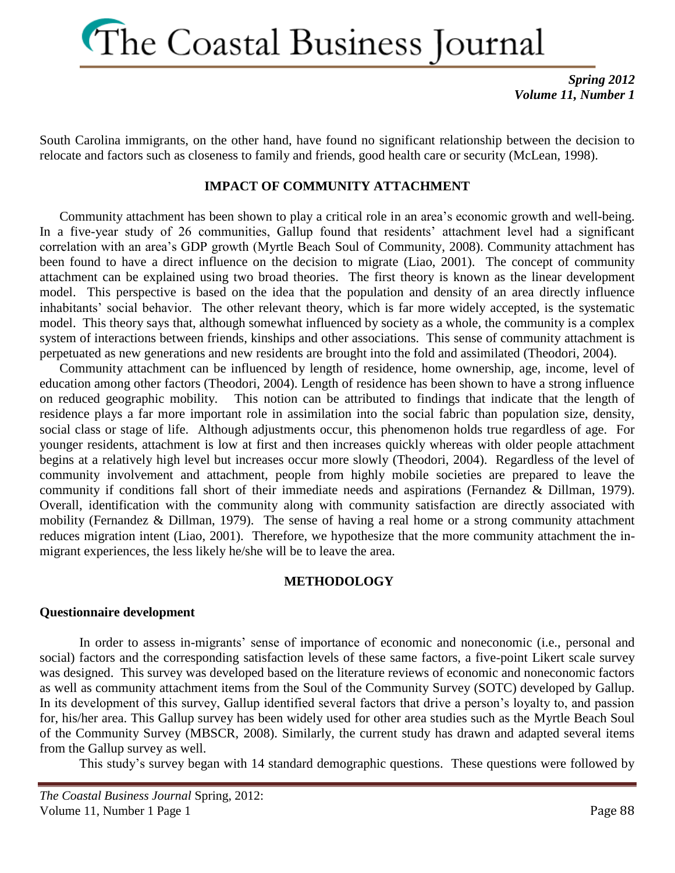*Spring 2012 Volume 11, Number 1*

South Carolina immigrants, on the other hand, have found no significant relationship between the decision to relocate and factors such as closeness to family and friends, good health care or security (McLean, 1998).

### **IMPACT OF COMMUNITY ATTACHMENT**

Community attachment has been shown to play a critical role in an area's economic growth and well-being. In a five-year study of 26 communities, Gallup found that residents' attachment level had a significant correlation with an area's GDP growth (Myrtle Beach Soul of Community, 2008). Community attachment has been found to have a direct influence on the decision to migrate (Liao, 2001). The concept of community attachment can be explained using two broad theories. The first theory is known as the linear development model. This perspective is based on the idea that the population and density of an area directly influence inhabitants' social behavior. The other relevant theory, which is far more widely accepted, is the systematic model. This theory says that, although somewhat influenced by society as a whole, the community is a complex system of interactions between friends, kinships and other associations. This sense of community attachment is perpetuated as new generations and new residents are brought into the fold and assimilated (Theodori, 2004).

Community attachment can be influenced by length of residence, home ownership, age, income, level of education among other factors (Theodori, 2004). Length of residence has been shown to have a strong influence on reduced geographic mobility. This notion can be attributed to findings that indicate that the length of residence plays a far more important role in assimilation into the social fabric than population size, density, social class or stage of life. Although adjustments occur, this phenomenon holds true regardless of age. For younger residents, attachment is low at first and then increases quickly whereas with older people attachment begins at a relatively high level but increases occur more slowly (Theodori, 2004). Regardless of the level of community involvement and attachment, people from highly mobile societies are prepared to leave the community if conditions fall short of their immediate needs and aspirations (Fernandez & Dillman, 1979). Overall, identification with the community along with community satisfaction are directly associated with mobility (Fernandez & Dillman, 1979). The sense of having a real home or a strong community attachment reduces migration intent (Liao, 2001). Therefore, we hypothesize that the more community attachment the inmigrant experiences, the less likely he/she will be to leave the area.

### **METHODOLOGY**

#### **Questionnaire development**

In order to assess in-migrants' sense of importance of economic and noneconomic (i.e., personal and social) factors and the corresponding satisfaction levels of these same factors, a five-point Likert scale survey was designed. This survey was developed based on the literature reviews of economic and noneconomic factors as well as community attachment items from the Soul of the Community Survey (SOTC) developed by Gallup. In its development of this survey, Gallup identified several factors that drive a person's loyalty to, and passion for, his/her area. This Gallup survey has been widely used for other area studies such as the Myrtle Beach Soul of the Community Survey (MBSCR, 2008). Similarly, the current study has drawn and adapted several items from the Gallup survey as well.

This study's survey began with 14 standard demographic questions. These questions were followed by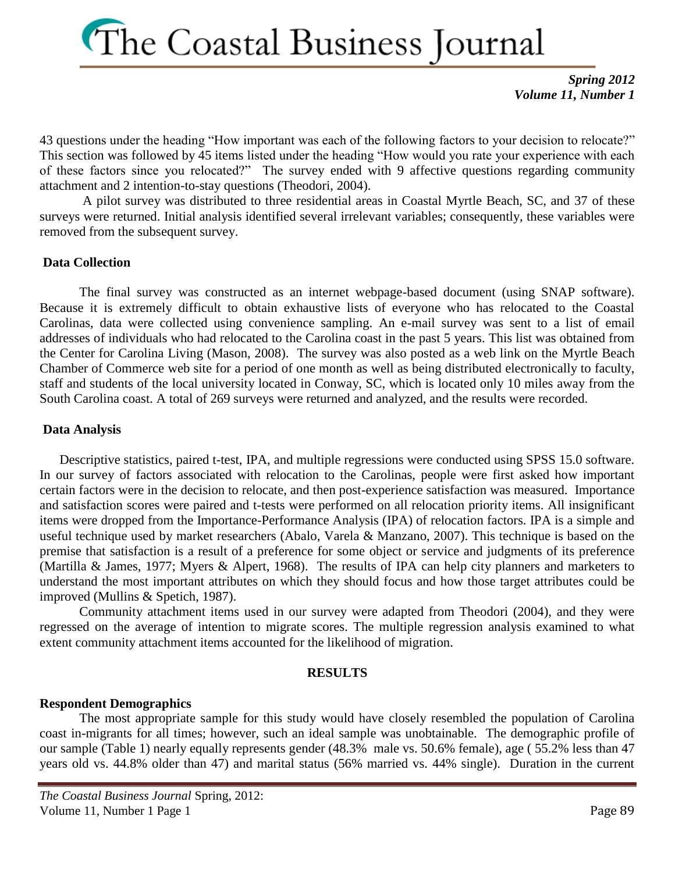*Spring 2012 Volume 11, Number 1*

43 questions under the heading "How important was each of the following factors to your decision to relocate?" This section was followed by 45 items listed under the heading "How would you rate your experience with each of these factors since you relocated?" The survey ended with 9 affective questions regarding community attachment and 2 intention-to-stay questions (Theodori, 2004).

A pilot survey was distributed to three residential areas in Coastal Myrtle Beach, SC, and 37 of these surveys were returned. Initial analysis identified several irrelevant variables; consequently, these variables were removed from the subsequent survey.

### **Data Collection**

The final survey was constructed as an internet webpage-based document (using SNAP software). Because it is extremely difficult to obtain exhaustive lists of everyone who has relocated to the Coastal Carolinas, data were collected using convenience sampling. An e-mail survey was sent to a list of email addresses of individuals who had relocated to the Carolina coast in the past 5 years. This list was obtained from the Center for Carolina Living (Mason, 2008). The survey was also posted as a web link on the Myrtle Beach Chamber of Commerce web site for a period of one month as well as being distributed electronically to faculty, staff and students of the local university located in Conway, SC, which is located only 10 miles away from the South Carolina coast. A total of 269 surveys were returned and analyzed, and the results were recorded.

### **Data Analysis**

Descriptive statistics, paired t-test, IPA, and multiple regressions were conducted using SPSS 15.0 software. In our survey of factors associated with relocation to the Carolinas, people were first asked how important certain factors were in the decision to relocate, and then post-experience satisfaction was measured. Importance and satisfaction scores were paired and t-tests were performed on all relocation priority items. All insignificant items were dropped from the Importance-Performance Analysis (IPA) of relocation factors. IPA is a simple and useful technique used by market researchers (Abalo, Varela & Manzano, 2007). This technique is based on the premise that satisfaction is a result of a preference for some object or service and judgments of its preference (Martilla & James, 1977; Myers & Alpert, 1968). The results of IPA can help city planners and marketers to understand the most important attributes on which they should focus and how those target attributes could be improved (Mullins & Spetich, 1987).

Community attachment items used in our survey were adapted from Theodori (2004), and they were regressed on the average of intention to migrate scores. The multiple regression analysis examined to what extent community attachment items accounted for the likelihood of migration.

### **RESULTS**

### **Respondent Demographics**

The most appropriate sample for this study would have closely resembled the population of Carolina coast in-migrants for all times; however, such an ideal sample was unobtainable. The demographic profile of our sample (Table 1) nearly equally represents gender (48.3% male vs. 50.6% female), age ( 55.2% less than 47 years old vs. 44.8% older than 47) and marital status (56% married vs. 44% single). Duration in the current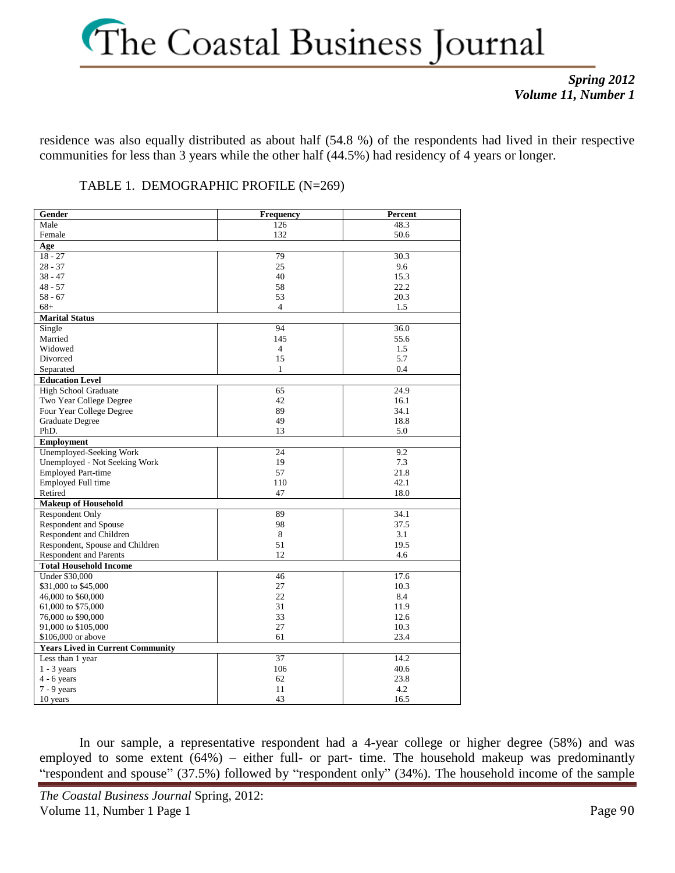### *Spring 2012 Volume 11, Number 1*

residence was also equally distributed as about half (54.8 %) of the respondents had lived in their respective communities for less than 3 years while the other half (44.5%) had residency of 4 years or longer.

TABLE 1. DEMOGRAPHIC PROFILE (N=269)

| Gender                                  | Frequency       | Percent |
|-----------------------------------------|-----------------|---------|
| Male                                    | 126             | 48.3    |
| Female                                  | 132             | 50.6    |
| Age                                     |                 |         |
| $18 - 27$                               | 79              | 30.3    |
| $28 - 37$                               | 25              | 9.6     |
| $38 - 47$                               | 40              | 15.3    |
| $48 - 57$                               | 58              | 22.2    |
| $58 - 67$                               | 53              | 20.3    |
| $68+$                                   | $\overline{4}$  | 1.5     |
| <b>Marital Status</b>                   |                 |         |
| Single                                  | 94              | 36.0    |
| Married                                 | 145             | 55.6    |
| Widowed                                 | $\overline{4}$  | 1.5     |
| Divorced                                | 15              | 5.7     |
| Separated                               | 1               | 0.4     |
| <b>Education Level</b>                  |                 |         |
| High School Graduate                    | 65              | 24.9    |
| Two Year College Degree                 | 42              | 16.1    |
| Four Year College Degree                | 89              | 34.1    |
| Graduate Degree                         | 49              | 18.8    |
| PhD.                                    | 13              | 5.0     |
| <b>Employment</b>                       |                 |         |
| Unemployed-Seeking Work                 | 24              | 9.2     |
| Unemployed - Not Seeking Work           | 19              | 7.3     |
| <b>Employed Part-time</b>               | 57              | 21.8    |
| Employed Full time                      | 110             | 42.1    |
| Retired                                 | 47              | 18.0    |
| <b>Makeup of Household</b>              |                 |         |
| <b>Respondent Only</b>                  | 89              | 34.1    |
| <b>Respondent and Spouse</b>            | 98              | 37.5    |
| Respondent and Children                 | 8               | 3.1     |
| Respondent, Spouse and Children         | 51              | 19.5    |
| <b>Respondent and Parents</b>           | 12              | 4.6     |
| <b>Total Household Income</b>           |                 |         |
| <b>Under \$30,000</b>                   | 46              | 17.6    |
| \$31,000 to \$45,000                    | 27              | 10.3    |
| 46,000 to \$60,000                      | 22              | 8.4     |
| 61,000 to \$75,000                      | 31              | 11.9    |
| 76,000 to \$90,000                      | 33              | 12.6    |
| 91,000 to \$105,000                     | 27              | 10.3    |
| \$106,000 or above                      | 61              | 23.4    |
| <b>Years Lived in Current Community</b> |                 |         |
| Less than 1 year                        | $\overline{37}$ | 14.2    |
| $1 - 3$ years                           | 106             | 40.6    |
| $4 - 6$ years                           | 62              | 23.8    |
| $7 - 9$ years                           | 11              | 4.2     |
| 10 years                                | 43              | 16.5    |

In our sample, a representative respondent had a 4-year college or higher degree (58%) and was employed to some extent  $(64%)$  – either full- or part- time. The household makeup was predominantly "respondent and spouse" (37.5%) followed by "respondent only" (34%). The household income of the sample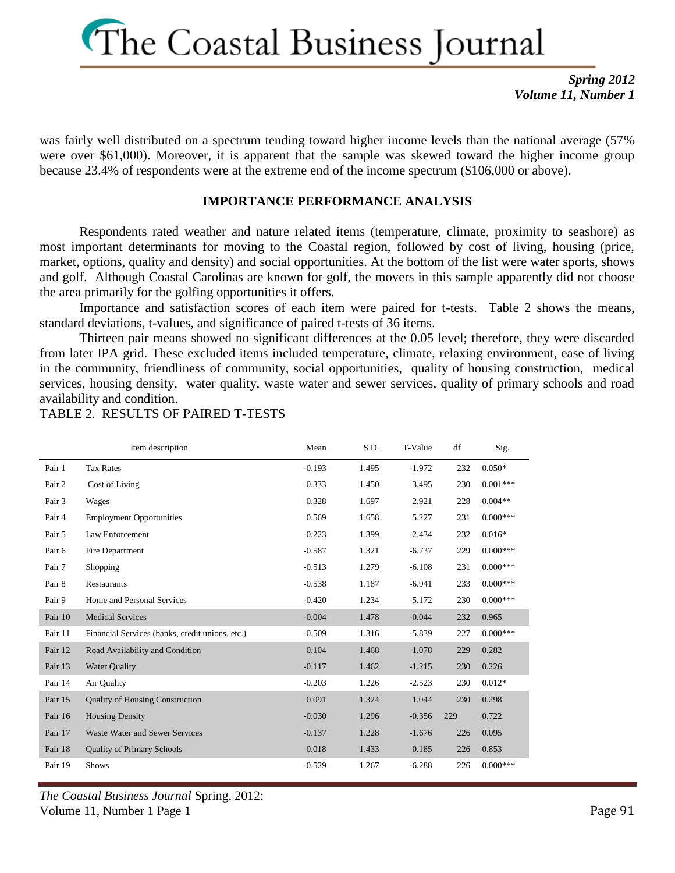*Spring 2012 Volume 11, Number 1*

was fairly well distributed on a spectrum tending toward higher income levels than the national average (57% were over \$61,000). Moreover, it is apparent that the sample was skewed toward the higher income group because 23.4% of respondents were at the extreme end of the income spectrum (\$106,000 or above).

### **IMPORTANCE PERFORMANCE ANALYSIS**

Respondents rated weather and nature related items (temperature, climate, proximity to seashore) as most important determinants for moving to the Coastal region, followed by cost of living, housing (price, market, options, quality and density) and social opportunities. At the bottom of the list were water sports, shows and golf. Although Coastal Carolinas are known for golf, the movers in this sample apparently did not choose the area primarily for the golfing opportunities it offers.

Importance and satisfaction scores of each item were paired for t-tests. Table 2 shows the means, standard deviations, t-values, and significance of paired t-tests of 36 items.

Thirteen pair means showed no significant differences at the 0.05 level; therefore, they were discarded from later IPA grid. These excluded items included temperature, climate, relaxing environment, ease of living in the community, friendliness of community, social opportunities, quality of housing construction, medical services, housing density, water quality, waste water and sewer services, quality of primary schools and road availability and condition.

TABLE 2. RESULTS OF PAIRED T-TESTS

|         | Item description                                | Mean     | SD.   | T-Value  | df  | Sig.       |
|---------|-------------------------------------------------|----------|-------|----------|-----|------------|
| Pair 1  | <b>Tax Rates</b>                                | $-0.193$ | 1.495 | $-1.972$ | 232 | $0.050*$   |
| Pair 2  | Cost of Living                                  | 0.333    | 1.450 | 3.495    | 230 | $0.001***$ |
| Pair 3  | Wages                                           | 0.328    | 1.697 | 2.921    | 228 | $0.004**$  |
| Pair 4  | <b>Employment Opportunities</b>                 | 0.569    | 1.658 | 5.227    | 231 | $0.000***$ |
| Pair 5  | Law Enforcement                                 | $-0.223$ | 1.399 | $-2.434$ | 232 | $0.016*$   |
| Pair 6  | Fire Department                                 | $-0.587$ | 1.321 | $-6.737$ | 229 | $0.000***$ |
| Pair 7  | Shopping                                        | $-0.513$ | 1.279 | $-6.108$ | 231 | $0.000***$ |
| Pair 8  | Restaurants                                     | $-0.538$ | 1.187 | $-6.941$ | 233 | $0.000***$ |
| Pair 9  | Home and Personal Services                      | $-0.420$ | 1.234 | $-5.172$ | 230 | $0.000***$ |
| Pair 10 | <b>Medical Services</b>                         | $-0.004$ | 1.478 | $-0.044$ | 232 | 0.965      |
| Pair 11 | Financial Services (banks, credit unions, etc.) | $-0.509$ | 1.316 | $-5.839$ | 227 | $0.000***$ |
| Pair 12 | Road Availability and Condition                 | 0.104    | 1.468 | 1.078    | 229 | 0.282      |
| Pair 13 | <b>Water Quality</b>                            | $-0.117$ | 1.462 | $-1.215$ | 230 | 0.226      |
| Pair 14 | Air Quality                                     | $-0.203$ | 1.226 | $-2.523$ | 230 | $0.012*$   |
| Pair 15 | <b>Quality of Housing Construction</b>          | 0.091    | 1.324 | 1.044    | 230 | 0.298      |
| Pair 16 | <b>Housing Density</b>                          | $-0.030$ | 1.296 | $-0.356$ | 229 | 0.722      |
| Pair 17 | Waste Water and Sewer Services                  | $-0.137$ | 1.228 | $-1.676$ | 226 | 0.095      |
| Pair 18 | <b>Quality of Primary Schools</b>               | 0.018    | 1.433 | 0.185    | 226 | 0.853      |
| Pair 19 | <b>Shows</b>                                    | $-0.529$ | 1.267 | $-6.288$ | 226 | $0.000***$ |

*The Coastal Business Journal* Spring, 2012: Volume 11, Number 1 Page 1 Page 1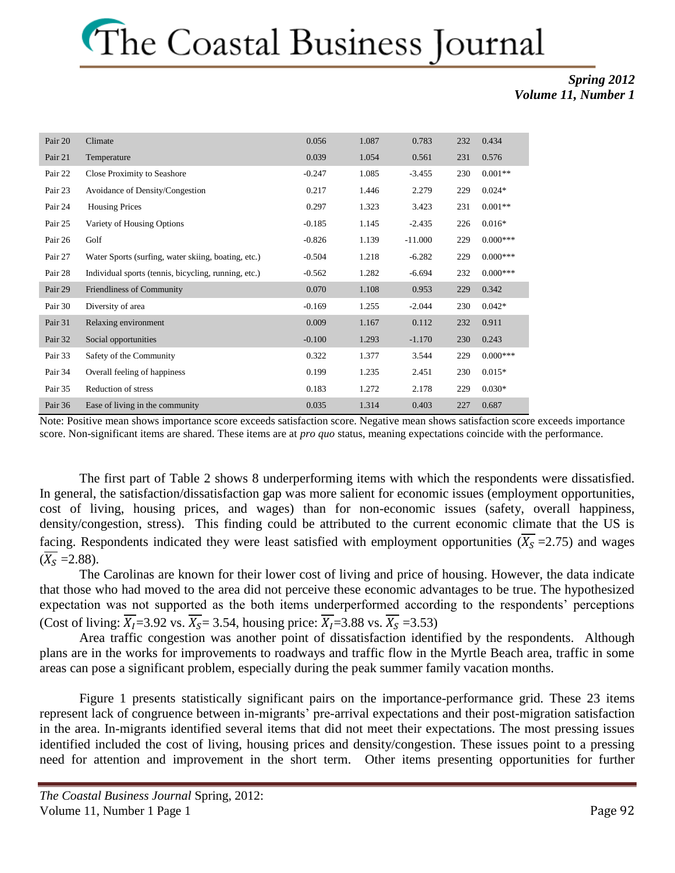### *Spring 2012 Volume 11, Number 1*

| Pair 20 | Climate                                              | 0.056    | 1.087 | 0.783     | 232 | 0.434      |
|---------|------------------------------------------------------|----------|-------|-----------|-----|------------|
| Pair 21 | Temperature                                          | 0.039    | 1.054 | 0.561     | 231 | 0.576      |
| Pair 22 | Close Proximity to Seashore                          | $-0.247$ | 1.085 | $-3.455$  | 230 | $0.001**$  |
| Pair 23 | Avoidance of Density/Congestion                      | 0.217    | 1.446 | 2.279     | 229 | $0.024*$   |
| Pair 24 | <b>Housing Prices</b>                                | 0.297    | 1.323 | 3.423     | 231 | $0.001**$  |
| Pair 25 | Variety of Housing Options                           | $-0.185$ | 1.145 | $-2.435$  | 226 | $0.016*$   |
| Pair 26 | Golf                                                 | $-0.826$ | 1.139 | $-11.000$ | 229 | $0.000***$ |
| Pair 27 | Water Sports (surfing, water skiing, boating, etc.)  | $-0.504$ | 1.218 | $-6.282$  | 229 | $0.000***$ |
| Pair 28 | Individual sports (tennis, bicycling, running, etc.) | $-0.562$ | 1.282 | $-6.694$  | 232 | $0.000***$ |
| Pair 29 | Friendliness of Community                            | 0.070    | 1.108 | 0.953     | 229 | 0.342      |
| Pair 30 | Diversity of area                                    | $-0.169$ | 1.255 | $-2.044$  | 230 | $0.042*$   |
| Pair 31 | Relaxing environment                                 | 0.009    | 1.167 | 0.112     | 232 | 0.911      |
| Pair 32 | Social opportunities                                 | $-0.100$ | 1.293 | $-1.170$  | 230 | 0.243      |
| Pair 33 | Safety of the Community                              | 0.322    | 1.377 | 3.544     | 229 | $0.000***$ |
| Pair 34 | Overall feeling of happiness                         | 0.199    | 1.235 | 2.451     | 230 | $0.015*$   |
| Pair 35 | Reduction of stress                                  | 0.183    | 1.272 | 2.178     | 229 | $0.030*$   |
| Pair 36 | Ease of living in the community                      | 0.035    | 1.314 | 0.403     | 227 | 0.687      |

Note: Positive mean shows importance score exceeds satisfaction score. Negative mean shows satisfaction score exceeds importance score. Non-significant items are shared. These items are at *pro quo* status, meaning expectations coincide with the performance.

The first part of Table 2 shows 8 underperforming items with which the respondents were dissatisfied. In general, the satisfaction/dissatisfaction gap was more salient for economic issues (employment opportunities, cost of living, housing prices, and wages) than for non-economic issues (safety, overall happiness, density/congestion, stress). This finding could be attributed to the current economic climate that the US is facing. Respondents indicated they were least satisfied with employment opportunities  $(\overline{X_s} = 2.75)$  and wages  $(\overline{X_S}$  = 2.88).

The Carolinas are known for their lower cost of living and price of housing. However, the data indicate that those who had moved to the area did not perceive these economic advantages to be true. The hypothesized expectation was not supported as the both items underperformed according to the respondents' perceptions (Cost of living:  $\overline{X_1}$ =3.92 vs.  $\overline{X_5}$ = 3.54, housing price:  $\overline{X_1}$ =3.88 vs.  $\overline{X_5}$ =3.53)

Area traffic congestion was another point of dissatisfaction identified by the respondents. Although plans are in the works for improvements to roadways and traffic flow in the Myrtle Beach area, traffic in some areas can pose a significant problem, especially during the peak summer family vacation months.

Figure 1 presents statistically significant pairs on the importance-performance grid. These 23 items represent lack of congruence between in-migrants' pre-arrival expectations and their post-migration satisfaction in the area. In-migrants identified several items that did not meet their expectations. The most pressing issues identified included the cost of living, housing prices and density/congestion. These issues point to a pressing need for attention and improvement in the short term. Other items presenting opportunities for further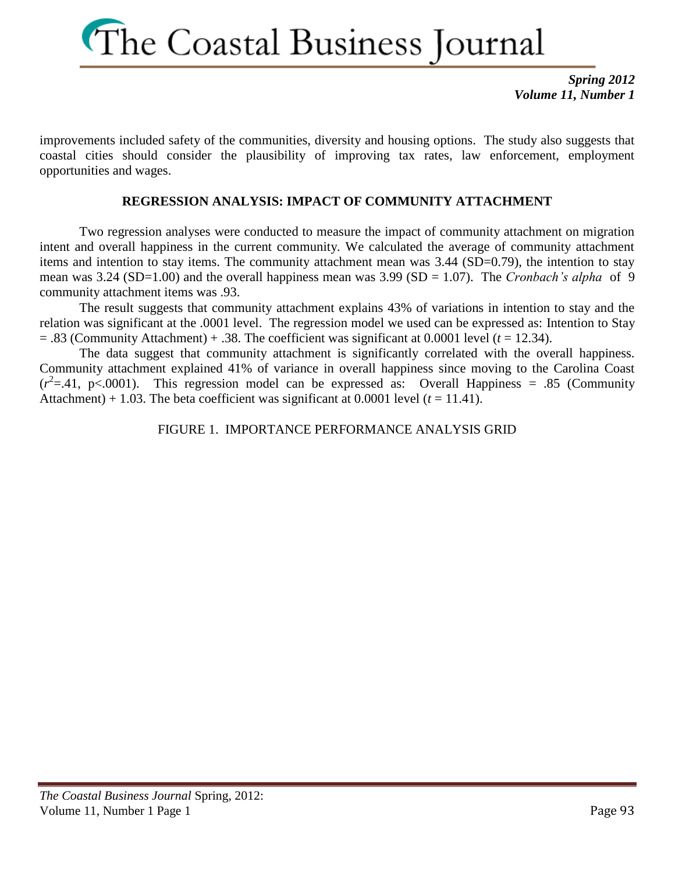*Spring 2012 Volume 11, Number 1*

improvements included safety of the communities, diversity and housing options. The study also suggests that coastal cities should consider the plausibility of improving tax rates, law enforcement, employment opportunities and wages.

### **REGRESSION ANALYSIS: IMPACT OF COMMUNITY ATTACHMENT**

Two regression analyses were conducted to measure the impact of community attachment on migration intent and overall happiness in the current community. We calculated the average of community attachment items and intention to stay items. The community attachment mean was 3.44 (SD=0.79), the intention to stay mean was 3.24 (SD=1.00) and the overall happiness mean was 3.99 (SD = 1.07). The *Cronbach's alpha* of 9 community attachment items was .93.

The result suggests that community attachment explains 43% of variations in intention to stay and the relation was significant at the .0001 level. The regression model we used can be expressed as: Intention to Stay  $=$  .83 (Community Attachment)  $+$  .38. The coefficient was significant at 0.0001 level ( $t = 12.34$ ).

The data suggest that community attachment is significantly correlated with the overall happiness. Community attachment explained 41% of variance in overall happiness since moving to the Carolina Coast  $(r^2 = .41, p < .0001)$ . This regression model can be expressed as: Overall Happiness = .85 (Community Attachment) + 1.03. The beta coefficient was significant at 0.0001 level  $(t = 11.41)$ .

### FIGURE 1. IMPORTANCE PERFORMANCE ANALYSIS GRID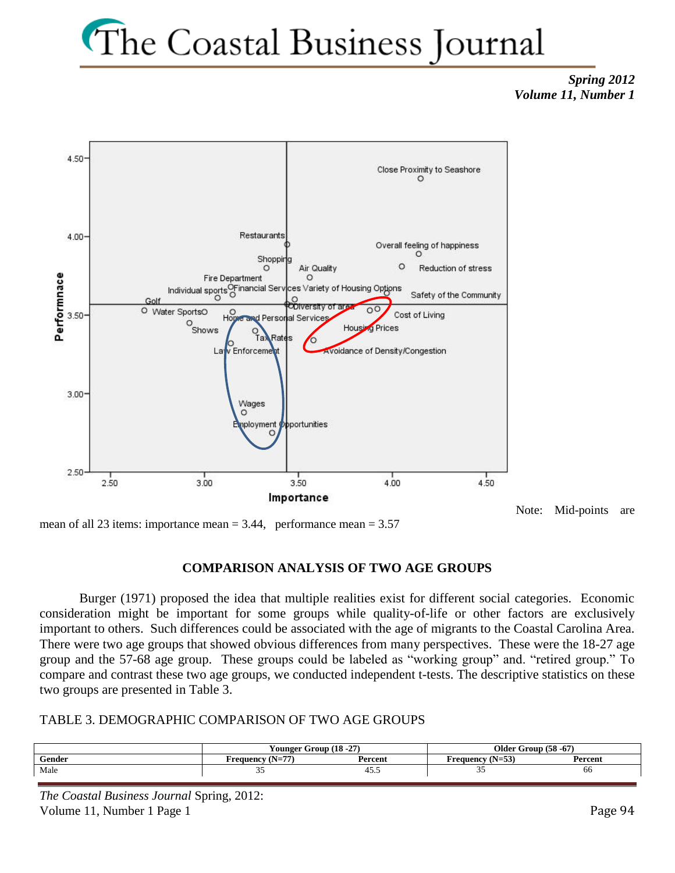### *Spring 2012 Volume 11, Number 1*



Note: Mid-points are

mean of all 23 items: importance mean  $= 3.44$ , performance mean  $= 3.57$ 

### **COMPARISON ANALYSIS OF TWO AGE GROUPS**

Burger (1971) proposed the idea that multiple realities exist for different social categories. Economic consideration might be important for some groups while quality-of-life or other factors are exclusively important to others. Such differences could be associated with the age of migrants to the Coastal Carolina Area. There were two age groups that showed obvious differences from many perspectives. These were the 18-27 age group and the 57-68 age group. These groups could be labeled as "working group" and. "retired group." To compare and contrast these two age groups, we conducted independent t-tests. The descriptive statistics on these two groups are presented in Table 3.

### TABLE 3. DEMOGRAPHIC COMPARISON OF TWO AGE GROUPS

|        | rounger                                            | : Group (18 -27) | Older G<br>$\cdot$ Group (58 -67) |         |  |
|--------|----------------------------------------------------|------------------|-----------------------------------|---------|--|
| Gender | $\overline{a}$<br>$(N-1)$<br>Frequency<br>$1 - 11$ | Percent          | Frequency (N=53)<br>$(11 - 33)$   | Percent |  |
| Male   | ັ                                                  | 45.3             | --                                | 00      |  |

*The Coastal Business Journal* Spring, 2012: Volume 11, Number 1 Page 1 Page 1 Page 94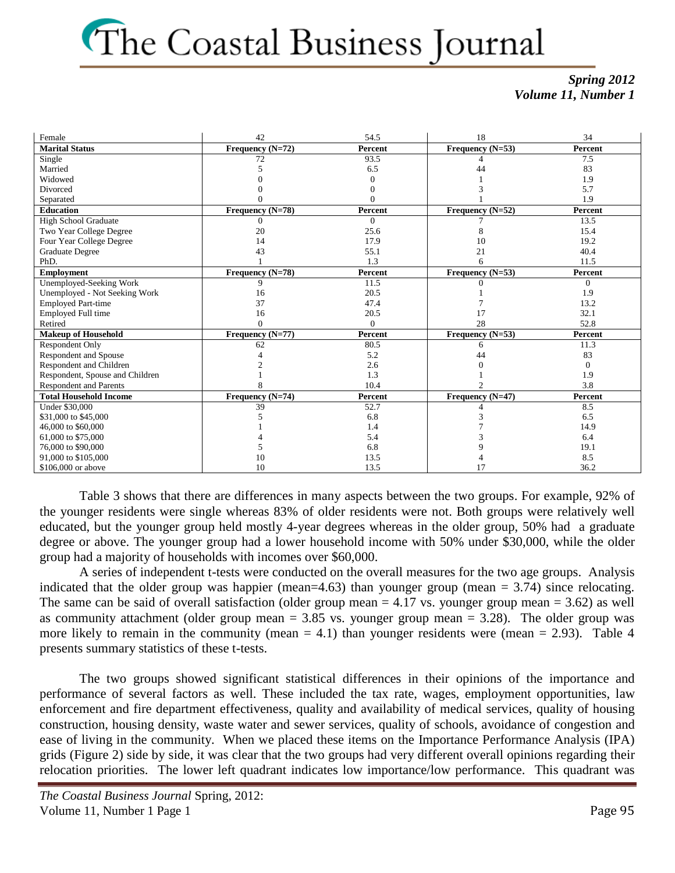### *Spring 2012 Volume 11, Number 1*

| Female                          | 42               | 54.5     | 18                 | 34       |
|---------------------------------|------------------|----------|--------------------|----------|
| <b>Marital Status</b>           | Frequency (N=72) | Percent  | Frequency (N=53)   | Percent  |
| Single                          | 72               | 93.5     |                    | 7.5      |
| Married                         |                  | 6.5      | 44                 | 83       |
| Widowed                         |                  |          |                    | 1.9      |
| Divorced                        |                  |          |                    | 5.7      |
| Separated                       |                  |          |                    | 1.9      |
| <b>Education</b>                | Frequency (N=78) | Percent  | Frequency (N=52)   | Percent  |
| <b>High School Graduate</b>     | $\Omega$         | $\Omega$ |                    | 13.5     |
| Two Year College Degree         | 20               | 25.6     | 8                  | 15.4     |
| Four Year College Degree        | 14               | 17.9     | 10                 | 19.2     |
| Graduate Degree                 | 43               | 55.1     | 21                 | 40.4     |
| PhD.                            |                  | 1.3      | 6                  | 11.5     |
| <b>Employment</b>               | Frequency (N=78) | Percent  | Frequency (N=53)   | Percent  |
| <b>Unemployed-Seeking Work</b>  | 9                | 11.5     |                    | $\Omega$ |
| Unemployed - Not Seeking Work   | 16               | 20.5     |                    | 1.9      |
| <b>Employed Part-time</b>       | 37               | 47.4     |                    | 13.2     |
| Employed Full time              | 16               | 20.5     | 17                 | 32.1     |
| Retired                         |                  | $\Omega$ | 28                 | 52.8     |
| <b>Makeup of Household</b>      | Frequency (N=77) | Percent  | Frequency (N=53)   | Percent  |
| <b>Respondent Only</b>          | 62               | 80.5     | 6                  | 11.3     |
| <b>Respondent and Spouse</b>    |                  | 5.2      | 44                 | 83       |
| Respondent and Children         |                  | 2.6      |                    | 0        |
| Respondent, Spouse and Children |                  | 1.3      |                    | 1.9      |
| <b>Respondent and Parents</b>   |                  | 10.4     |                    | 3.8      |
| <b>Total Household Income</b>   | Frequency (N=74) | Percent  | Frequency $(N=47)$ | Percent  |
| <b>Under \$30,000</b>           | 39               | 52.7     |                    | 8.5      |
| \$31,000 to \$45,000            |                  | 6.8      |                    | 6.5      |
| 46,000 to \$60,000              |                  | 1.4      |                    | 14.9     |
| 61,000 to \$75,000              |                  | 5.4      |                    | 6.4      |
| 76,000 to \$90,000              |                  | 6.8      |                    | 19.1     |
| 91,000 to \$105,000             | 10               | 13.5     |                    | 8.5      |
| \$106,000 or above              | 10               | 13.5     | 17                 | 36.2     |

Table 3 shows that there are differences in many aspects between the two groups. For example, 92% of the younger residents were single whereas 83% of older residents were not. Both groups were relatively well educated, but the younger group held mostly 4-year degrees whereas in the older group, 50% had a graduate degree or above. The younger group had a lower household income with 50% under \$30,000, while the older group had a majority of households with incomes over \$60,000.

A series of independent t-tests were conducted on the overall measures for the two age groups. Analysis indicated that the older group was happier (mean=4.63) than younger group (mean  $= 3.74$ ) since relocating. The same can be said of overall satisfaction (older group mean  $= 4.17$  vs. younger group mean  $= 3.62$ ) as well as community attachment (older group mean  $= 3.85$  vs. younger group mean  $= 3.28$ ). The older group was more likely to remain in the community (mean  $= 4.1$ ) than younger residents were (mean  $= 2.93$ ). Table 4 presents summary statistics of these t-tests.

The two groups showed significant statistical differences in their opinions of the importance and performance of several factors as well. These included the tax rate, wages, employment opportunities, law enforcement and fire department effectiveness, quality and availability of medical services, quality of housing construction, housing density, waste water and sewer services, quality of schools, avoidance of congestion and ease of living in the community. When we placed these items on the Importance Performance Analysis (IPA) grids (Figure 2) side by side, it was clear that the two groups had very different overall opinions regarding their relocation priorities. The lower left quadrant indicates low importance/low performance. This quadrant was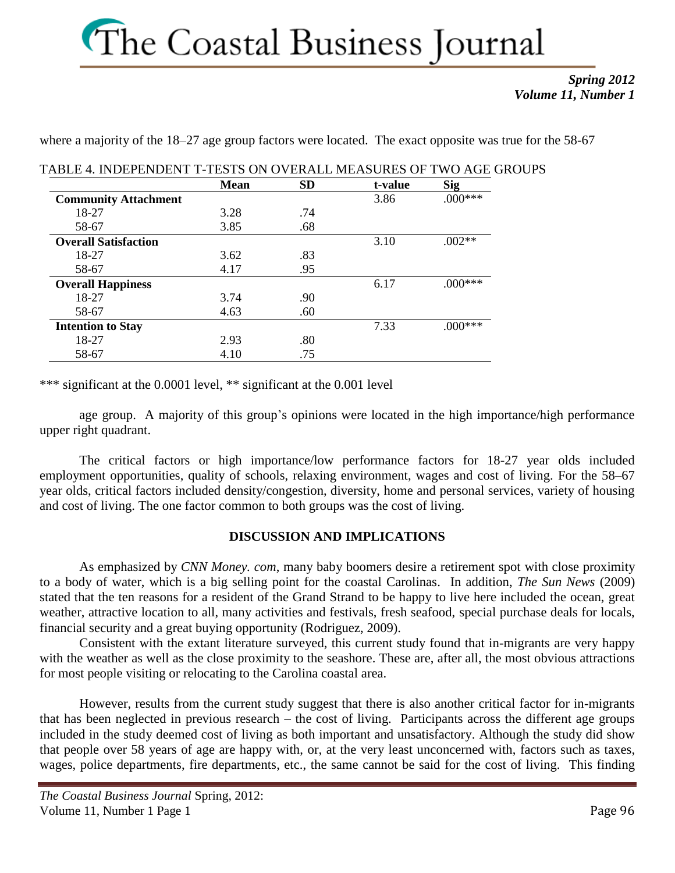### *Spring 2012 Volume 11, Number 1*

where a majority of the 18–27 age group factors were located. The exact opposite was true for the 58-67

|                             | <b>Mean</b> | <b>SD</b> | t-value | <b>Sig</b> |
|-----------------------------|-------------|-----------|---------|------------|
| <b>Community Attachment</b> |             |           | 3.86    | $000***$   |
| 18-27                       | 3.28        | .74       |         |            |
| 58-67                       | 3.85        | .68       |         |            |
| <b>Overall Satisfaction</b> |             |           | 3.10    | $.002**$   |
| 18-27                       | 3.62        | .83       |         |            |
| 58-67                       | 4.17        | .95       |         |            |
| <b>Overall Happiness</b>    |             |           | 6.17    | $.000***$  |
| 18-27                       | 3.74        | .90       |         |            |
| 58-67                       | 4.63        | .60       |         |            |
| <b>Intention to Stay</b>    |             |           | 7.33    |            |
| 18-27                       | 2.93        | .80       |         |            |
| 58-67                       | 4.10        | .75       |         |            |

### TABLE 4. INDEPENDENT T-TESTS ON OVERALL MEASURES OF TWO AGE GROUPS

\*\*\* significant at the 0.0001 level, \*\* significant at the 0.001 level

age group. A majority of this group's opinions were located in the high importance/high performance upper right quadrant.

The critical factors or high importance/low performance factors for 18-27 year olds included employment opportunities, quality of schools, relaxing environment, wages and cost of living. For the 58–67 year olds, critical factors included density/congestion, diversity, home and personal services, variety of housing and cost of living. The one factor common to both groups was the cost of living.

### **DISCUSSION AND IMPLICATIONS**

As emphasized by *CNN Money. com*, many baby boomers desire a retirement spot with close proximity to a body of water, which is a big selling point for the coastal Carolinas. In addition, *The Sun News* (2009) stated that the ten reasons for a resident of the Grand Strand to be happy to live here included the ocean, great weather, attractive location to all, many activities and festivals, fresh seafood, special purchase deals for locals, financial security and a great buying opportunity (Rodriguez, 2009).

Consistent with the extant literature surveyed, this current study found that in-migrants are very happy with the weather as well as the close proximity to the seashore. These are, after all, the most obvious attractions for most people visiting or relocating to the Carolina coastal area.

However, results from the current study suggest that there is also another critical factor for in-migrants that has been neglected in previous research – the cost of living. Participants across the different age groups included in the study deemed cost of living as both important and unsatisfactory. Although the study did show that people over 58 years of age are happy with, or, at the very least unconcerned with, factors such as taxes, wages, police departments, fire departments, etc., the same cannot be said for the cost of living. This finding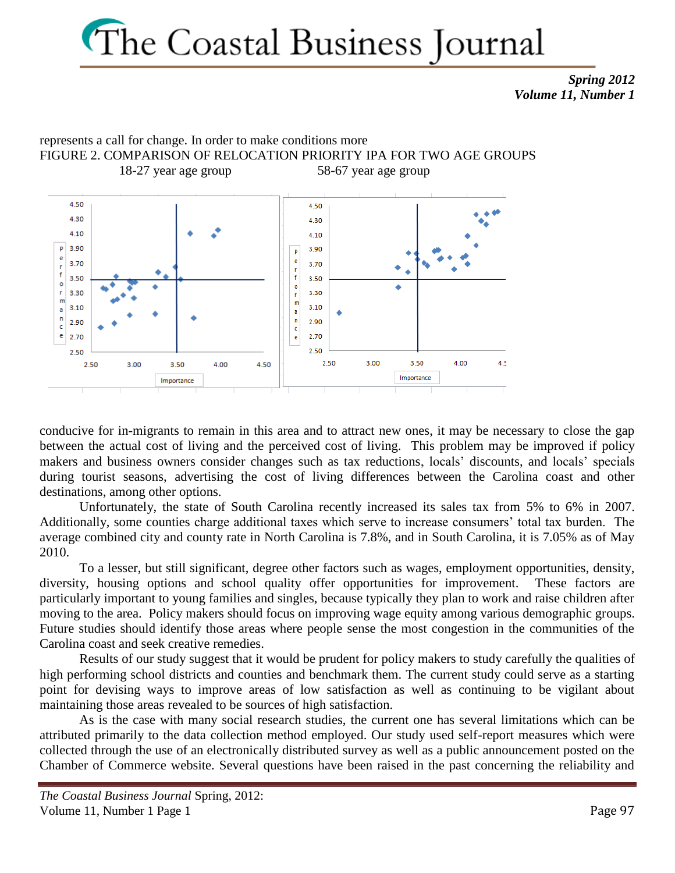*Spring 2012 Volume 11, Number 1*



conducive for in-migrants to remain in this area and to attract new ones, it may be necessary to close the gap between the actual cost of living and the perceived cost of living. This problem may be improved if policy makers and business owners consider changes such as tax reductions, locals' discounts, and locals' specials during tourist seasons, advertising the cost of living differences between the Carolina coast and other destinations, among other options.

Unfortunately, the state of South Carolina recently increased its sales tax from 5% to 6% in 2007. Additionally, some counties charge additional taxes which serve to increase consumers' total tax burden. The average combined city and county rate in North Carolina is 7.8%, and in South Carolina, it is 7.05% as of May 2010.

To a lesser, but still significant, degree other factors such as wages, employment opportunities, density, diversity, housing options and school quality offer opportunities for improvement. These factors are particularly important to young families and singles, because typically they plan to work and raise children after moving to the area. Policy makers should focus on improving wage equity among various demographic groups. Future studies should identify those areas where people sense the most congestion in the communities of the Carolina coast and seek creative remedies.

Results of our study suggest that it would be prudent for policy makers to study carefully the qualities of high performing school districts and counties and benchmark them. The current study could serve as a starting point for devising ways to improve areas of low satisfaction as well as continuing to be vigilant about maintaining those areas revealed to be sources of high satisfaction.

As is the case with many social research studies, the current one has several limitations which can be attributed primarily to the data collection method employed. Our study used self-report measures which were collected through the use of an electronically distributed survey as well as a public announcement posted on the Chamber of Commerce website. Several questions have been raised in the past concerning the reliability and

*The Coastal Business Journal* Spring, 2012: Volume 11, Number 1 Page 1 Page 97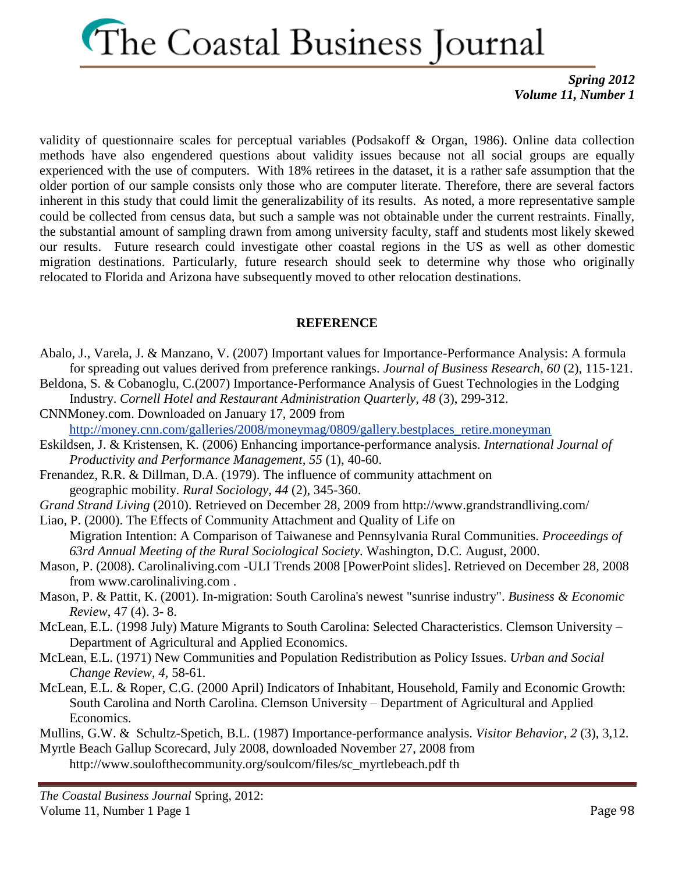*Spring 2012 Volume 11, Number 1*

validity of questionnaire scales for perceptual variables (Podsakoff & Organ, 1986). Online data collection methods have also engendered questions about validity issues because not all social groups are equally experienced with the use of computers. With 18% retirees in the dataset, it is a rather safe assumption that the older portion of our sample consists only those who are computer literate. Therefore, there are several factors inherent in this study that could limit the generalizability of its results. As noted, a more representative sample could be collected from census data, but such a sample was not obtainable under the current restraints. Finally, the substantial amount of sampling drawn from among university faculty, staff and students most likely skewed our results. Future research could investigate other coastal regions in the US as well as other domestic migration destinations. Particularly, future research should seek to determine why those who originally relocated to Florida and Arizona have subsequently moved to other relocation destinations.

### **REFERENCE**

- Abalo, J., Varela, J. & Manzano, V. (2007) Important values for Importance-Performance Analysis: A formula for spreading out values derived from preference rankings. *Journal of Business Research, 60* (2), 115-121.
- Beldona, S. & Cobanoglu, C.(2007) Importance-Performance Analysis of Guest Technologies in the Lodging Industry. *Cornell Hotel and Restaurant Administration Quarterly, 48* (3), 299-312.
- CNNMoney.com. Downloaded on January 17, 2009 from
	- [http://money.cnn.com/galleries/2008/moneymag/0809/gallery.bestplaces\\_retire.moneyman](http://money.cnn.com/galleries/2008/moneymag/0809/gallery.bestplaces_retire.moneyman)
- Eskildsen, J. & Kristensen, K. (2006) Enhancing importance-performance analysis. *International Journal of Productivity and Performance Management, 55* (1), 40-60.
- Frenandez, R.R. & Dillman, D.A. (1979). The influence of community attachment on geographic mobility. *Rural Sociology, 44* (2), 345-360.
- *Grand Strand Living* (2010). Retrieved on December 28, 2009 from http://www.grandstrandliving.com/
- Liao, P. (2000). The Effects of Community Attachment and Quality of Life on
- Migration Intention: A Comparison of Taiwanese and Pennsylvania Rural Communities. *Proceedings of 63rd Annual Meeting of the Rural Sociological Society.* Washington, D.C. August, 2000.
- Mason, P. (2008). Carolinaliving.com -ULI Trends 2008 [PowerPoint slides]. Retrieved on December 28, 2008 from [www.carolinaliving.com](http://www.carolinaliving.com/) .
- Mason, P. & Pattit, K. (2001). In-migration: South Carolina's newest "sunrise industry". *Business & Economic Review*, 47 (4). 3- 8.
- McLean, E.L. (1998 July) Mature Migrants to South Carolina: Selected Characteristics. Clemson University Department of Agricultural and Applied Economics.
- McLean, E.L. (1971) New Communities and Population Redistribution as Policy Issues. *Urban and Social Change Review, 4,* 58-61*.*
- McLean, E.L. & Roper, C.G. (2000 April) Indicators of Inhabitant, Household, Family and Economic Growth: South Carolina and North Carolina. Clemson University – Department of Agricultural and Applied Economics.

Mullins, G.W. & Schultz-Spetich, B.L. (1987) Importance-performance analysis. *Visitor Behavior, 2* (3), 3,12. [Myrtle Beach Gallup Scorecard,](http://www.soulofthecommunity.org/soulcom/files/sc_myrtlebeach.pdf) July 2008, downloaded November 27, 2008 from

[http://www.soulofthecommunity.org/soulcom/files/sc\\_myrtlebeach.p](http://www.soulofthecommunity.org/soulcom/files/sc_myrtlebeach.pdf)df th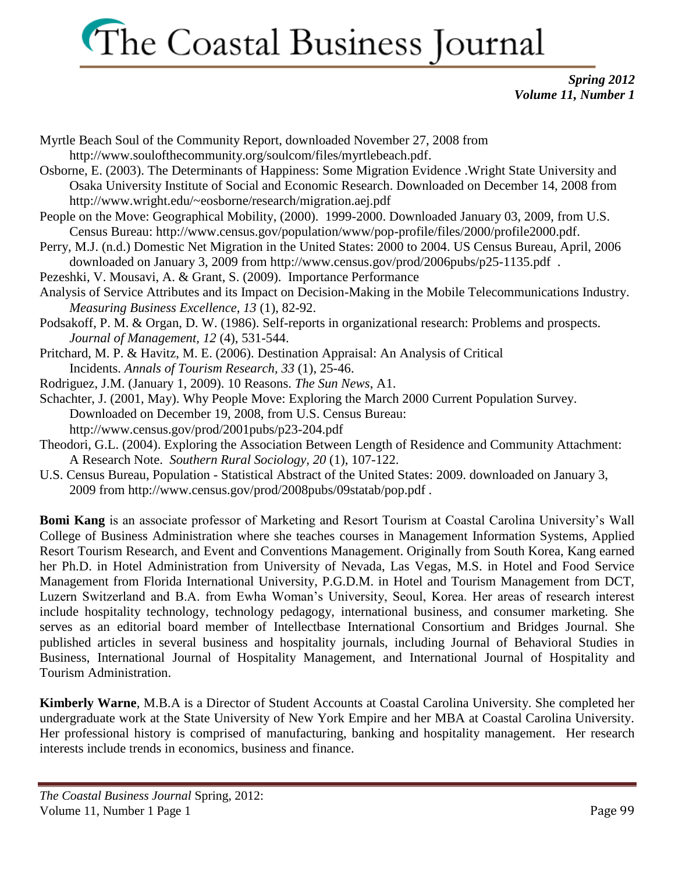*Spring 2012 Volume 11, Number 1*

- Myrtle Beach Soul of the Community Report, downloaded November 27, 2008 from [http://www.soulofthecommunity.org/soulcom/files/myrtlebeach.pdf.](http://www.soulofthecommunity.org/soulcom/files/myrtlebeach.pdf)
- Osborne, E. (2003). The Determinants of Happiness: Some Migration Evidence .Wright State University and Osaka University Institute of Social and Economic Research. Downloaded on December 14, 2008 from <http://www.wright.edu/~eosborne/research/migration.aej.pdf>
- People on the Move: Geographical Mobility, (2000). 1999-2000. Downloaded January 03, 2009, from U.S. Census Bureau: [http://www.census.gov/population/www/pop-profile/files/2000/profile2000.pdf.](http://www.census.gov/population/www/pop-profile/files/2000/profile2000.pdf)
- Perry, M.J. (n.d.) Domestic Net Migration in the United States: 2000 to 2004. US Census Bureau, April, 2006 downloaded on January 3, 2009 from<http://www.census.gov/prod/2006pubs/p25-1135.pdf>.
- Pezeshki, V. Mousavi, A. & Grant, S. (2009). Importance Performance
- Analysis of Service Attributes and its Impact on Decision-Making in the Mobile Telecommunications Industry. *Measuring Business Excellence, 13* (1), 82-92.
- Podsakoff, P. M. & Organ, D. W. (1986). Self-reports in organizational research: Problems and prospects. *Journal of Management, 12* (4), 531-544.
- Pritchard, M. P. & Havitz, M. E. (2006). Destination Appraisal: An Analysis of Critical Incidents. *Annals of Tourism Research, 33* (1), 25-46.
- Rodriguez, J.M. (January 1, 2009). 10 Reasons. *The Sun News*, A1.
- Schachter, J. (2001, May). Why People Move: Exploring the March 2000 Current Population Survey. Downloaded on December 19, 2008, from U.S. Census Bureau: <http://www.census.gov/prod/2001pubs/p23-204.pdf>
- Theodori, G.L. (2004). Exploring the Association Between Length of Residence and Community Attachment: A Research Note. *Southern Rural Sociology, 20* (1), 107-122.
- U.S. Census Bureau, Population Statistical Abstract of the United States: 2009. downloaded on January 3, 2009 from<http://www.census.gov/prod/2008pubs/09statab/pop.pdf> .

**Bomi Kang** is an associate professor of Marketing and Resort Tourism at Coastal Carolina University's Wall College of Business Administration where she teaches courses in Management Information Systems, Applied Resort Tourism Research, and Event and Conventions Management. Originally from South Korea, Kang earned her Ph.D. in Hotel Administration from University of Nevada, Las Vegas, M.S. in Hotel and Food Service Management from Florida International University, P.G.D.M. in Hotel and Tourism Management from DCT, Luzern Switzerland and B.A. from Ewha Woman's University, Seoul, Korea. Her areas of research interest include hospitality technology, technology pedagogy, international business, and consumer marketing. She serves as an editorial board member of Intellectbase International Consortium and Bridges Journal. She published articles in several business and hospitality journals, including Journal of Behavioral Studies in Business, International Journal of Hospitality Management, and International Journal of Hospitality and Tourism Administration.

**Kimberly Warne**, M.B.A is a Director of Student Accounts at Coastal Carolina University. She completed her undergraduate work at the State University of New York Empire and her MBA at Coastal Carolina University. Her professional history is comprised of manufacturing, banking and hospitality management. Her research interests include trends in economics, business and finance.

*The Coastal Business Journal* Spring, 2012: Volume 11, Number 1 Page 1 Page 1